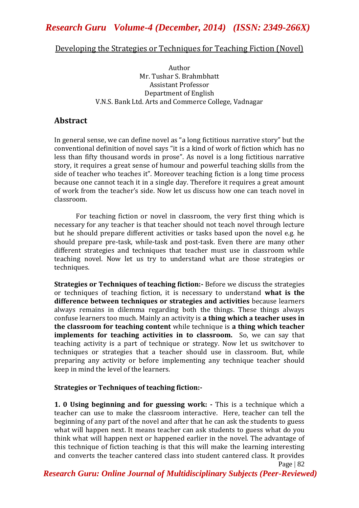### Developing the Strategies or Techniques for Teaching Fiction (Novel)

Author Mr. Tushar S. Brahmbhatt Assistant Professor Department of English V.N.S. Bank Ltd. Arts and Commerce College, Vadnagar

### **Abstract**

In general sense, we can define novel as "a long fictitious narrative story" but the conventional definition of novel says "it is a kind of work of fiction which has no less than fifty thousand words in prose". As novel is a long fictitious narrative story, it requires a great sense of humour and powerful teaching skills from the side of teacher who teaches it". Moreover teaching fiction is a long time process because one cannot teach it in a single day. Therefore it requires a great amount of work from the teacher's side. Now let us discuss how one can teach novel in classroom.

For teaching fiction or novel in classroom, the very first thing which is necessary for any teacher is that teacher should not teach novel through lecture but he should prepare different activities or tasks based upon the novel e.g. he should prepare pre-task, while-task and post-task. Even there are many other different strategies and techniques that teacher must use in classroom while teaching novel. Now let us try to understand what are those strategies or techniques.

**Strategies or Techniques of teaching fiction:-** Before we discuss the strategies or techniques of teaching fiction, it is necessary to understand **what is the difference between techniques or strategies and activities** because learners always remains in dilemma regarding both the things. These things always confuse learners too much. Mainly an activity is **a thing which a teacher uses in the classroom for teaching content** while technique is **a thing which teacher implements for teaching activities in to classroom.** So, we can say that teaching activity is a part of technique or strategy. Now let us switchover to techniques or strategies that a teacher should use in classroom. But, while preparing any activity or before implementing any technique teacher should keep in mind the level of the learners.

#### **Strategies or Techniques of teaching fiction:-**

Page | 82 **1. 0 Using beginning and for guessing work: -** This is a technique which a teacher can use to make the classroom interactive. Here, teacher can tell the beginning of any part of the novel and after that he can ask the students to guess what will happen next. It means teacher can ask students to guess what do you think what will happen next or happened earlier in the novel. The advantage of this technique of fiction teaching is that this will make the learning interesting and converts the teacher cantered class into student cantered class. It provides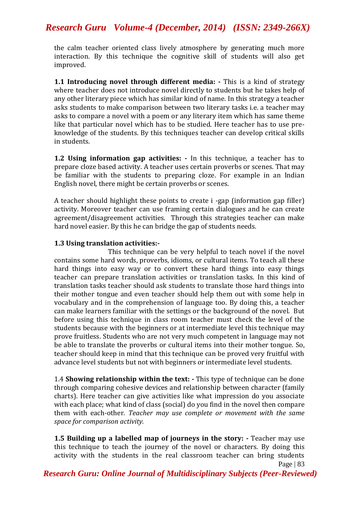the calm teacher oriented class lively atmosphere by generating much more interaction. By this technique the cognitive skill of students will also get improved.

**1.1 Introducing novel through different media: -** This is a kind of strategy where teacher does not introduce novel directly to students but he takes help of any other literary piece which has similar kind of name. In this strategy a teacher asks students to make comparison between two literary tasks i.e. a teacher may asks to compare a novel with a poem or any literary item which has same theme like that particular novel which has to be studied. Here teacher has to use preknowledge of the students. By this techniques teacher can develop critical skills in students.

**1.2 Using information gap activities: -** In this technique, a teacher has to prepare cloze based activity. A teacher uses certain proverbs or scenes. That may be familiar with the students to preparing cloze. For example in an Indian English novel, there might be certain proverbs or scenes.

A teacher should highlight these points to create i -gap (information gap filler) activity. Moreover teacher can use framing certain dialogues and he can create agreement/disagreement activities. Through this strategies teacher can make hard novel easier. By this he can bridge the gap of students needs.

#### **1.3 Using translation activities:-**

This technique can be very helpful to teach novel if the novel contains some hard words, proverbs, idioms, or cultural items. To teach all these hard things into easy way or to convert these hard things into easy things teacher can prepare translation activities or translation tasks. In this kind of translation tasks teacher should ask students to translate those hard things into their mother tongue and even teacher should help them out with some help in vocabulary and in the comprehension of language too. By doing this, a teacher can make learners familiar with the settings or the background of the novel. But before using this technique in class room teacher must check the level of the students because with the beginners or at intermediate level this technique may prove fruitless. Students who are not very much competent in language may not be able to translate the proverbs or cultural items into their mother tongue. So, teacher should keep in mind that this technique can be proved very fruitful with advance level students but not with beginners or intermediate level students.

1.4 **Showing relationship within the text: -** This type of technique can be done through comparing cohesive devices and relationship between character (family charts). Here teacher can give activities like what impression do you associate with each place; what kind of class (social) do you find in the novel then compare them with each-other. *Teacher may use complete or movement with the same space for comparison activity.* 

**1.5 Building up a labelled map of journeys in the story: -** Teacher may use this technique to teach the journey of the novel or characters. By doing this activity with the students in the real classroom teacher can bring students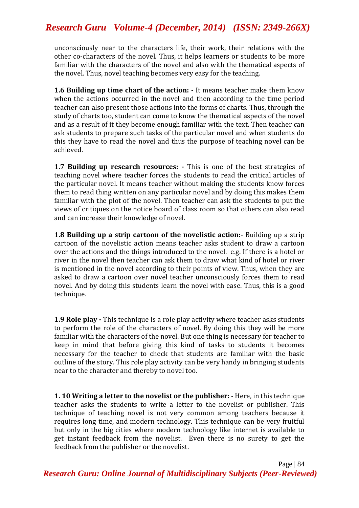unconsciously near to the characters life, their work, their relations with the other co-characters of the novel. Thus, it helps learners or students to be more familiar with the characters of the novel and also with the thematical aspects of the novel. Thus, novel teaching becomes very easy for the teaching.

**1.6 Building up time chart of the action: -** It means teacher make them know when the actions occurred in the novel and then according to the time period teacher can also present those actions into the forms of charts. Thus, through the study of charts too, student can come to know the thematical aspects of the novel and as a result of it they become enough familiar with the text. Then teacher can ask students to prepare such tasks of the particular novel and when students do this they have to read the novel and thus the purpose of teaching novel can be achieved.

**1.7 Building up research resources: -** This is one of the best strategies of teaching novel where teacher forces the students to read the critical articles of the particular novel. It means teacher without making the students know forces them to read thing written on any particular novel and by doing this makes them familiar with the plot of the novel. Then teacher can ask the students to put the views of critiques on the notice board of class room so that others can also read and can increase their knowledge of novel.

**1.8 Building up a strip cartoon of the novelistic action:-** Building up a strip cartoon of the novelistic action means teacher asks student to draw a cartoon over the actions and the things introduced to the novel. e.g. If there is a hotel or river in the novel then teacher can ask them to draw what kind of hotel or river is mentioned in the novel according to their points of view. Thus, when they are asked to draw a cartoon over novel teacher unconsciously forces them to read novel. And by doing this students learn the novel with ease. Thus, this is a good technique.

**1.9 Role play -** This technique is a role play activity where teacher asks students to perform the role of the characters of novel. By doing this they will be more familiar with the characters of the novel. But one thing is necessary for teacher to keep in mind that before giving this kind of tasks to students it becomes necessary for the teacher to check that students are familiar with the basic outline of the story. This role play activity can be very handy in bringing students near to the character and thereby to novel too.

**1. 10 Writing a letter to the novelist or the publisher: -** Here, in this technique teacher asks the students to write a letter to the novelist or publisher. This technique of teaching novel is not very common among teachers because it requires long time, and modern technology. This technique can be very fruitful but only in the big cities where modern technology like internet is available to get instant feedback from the novelist. Even there is no surety to get the feedback from the publisher or the novelist.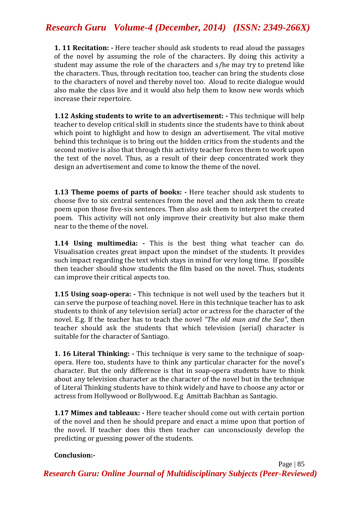**1. 11 Recitation: -** Here teacher should ask students to read aloud the passages of the novel by assuming the role of the characters. By doing this activity a student may assume the role of the characters and s/he may try to pretend like the characters. Thus, through recitation too, teacher can bring the students close to the characters of novel and thereby novel too. Aloud to recite dialogue would also make the class live and it would also help them to know new words which increase their repertoire.

**1.12 Asking students to write to an advertisement: -** This technique will help teacher to develop critical skill in students since the students have to think about which point to highlight and how to design an advertisement. The vital motive behind this technique is to bring out the hidden critics from the students and the second motive is also that through this activity teacher forces them to work upon the text of the novel. Thus, as a result of their deep concentrated work they design an advertisement and come to know the theme of the novel.

**1.13 Theme poems of parts of books: -** Here teacher should ask students to choose five to six central sentences from the novel and then ask them to create poem upon those five-six sentences. Then also ask them to interpret the created poem. This activity will not only improve their creativity but also make them near to the theme of the novel.

**1.14 Using multimedia: -** This is the best thing what teacher can do. Visualisation creates great impact upon the mindset of the students. It provides such impact regarding the text which stays in mind for very long time. If possible then teacher should show students the film based on the novel. Thus, students can improve their critical aspects too.

**1.15 Using soap-opera: -** This technique is not well used by the teachers but it can serve the purpose of teaching novel. Here in this technique teacher has to ask students to think of any television serial) actor or actress for the character of the novel. E.g. If the teacher has to teach the novel *"The old man and the Sea"*, then teacher should ask the students that which television (serial) character is suitable for the character of Santiago.

**1. 16 Literal Thinking: -** This technique is very same to the technique of soapopera. Here too, students have to think any particular character for the novel's character. But the only difference is that in soap-opera students have to think about any television character as the character of the novel but in the technique of Literal Thinking students have to think widely and have to choose any actor or actress from Hollywood or Bollywood. E.g Amittab Bachhan as Santagio.

**1.17 Mimes and tableaux: -** Here teacher should come out with certain portion of the novel and then he should prepare and enact a mime upon that portion of the novel. If teacher does this then teacher can unconsciously develop the predicting or guessing power of the students.

**Conclusion:-**